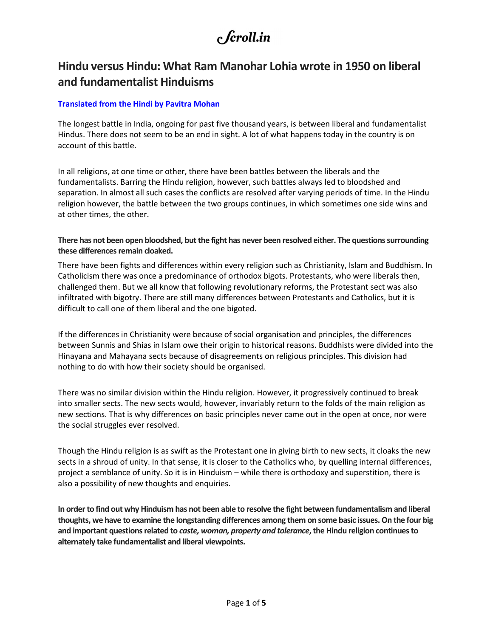### Hindu versus Hindu: What Ram Manohar Lohia wrote in 1950 on liberal and fundamentalist Hinduisms

#### Translated from the Hindi by Pavitra Mohan

The longest battle in India, ongoing for past five thousand years, is between liberal and fundamentalist Hindus. There does not seem to be an end in sight. A lot of what happens today in the country is on account of this battle.

In all religions, at one time or other, there have been battles between the liberals and the fundamentalists. Barring the Hindu religion, however, such battles always led to bloodshed and separation. In almost all such cases the conflicts are resolved after varying periods of time. In the Hindu religion however, the battle between the two groups continues, in which sometimes one side wins and at other times, the other.

#### There has not been open bloodshed, but the fight has never been resolved either. The questions surrounding these differences remain cloaked.

There have been fights and differences within every religion such as Christianity, Islam and Buddhism. In Catholicism there was once a predominance of orthodox bigots. Protestants, who were liberals then, challenged them. But we all know that following revolutionary reforms, the Protestant sect was also infiltrated with bigotry. There are still many differences between Protestants and Catholics, but it is difficult to call one of them liberal and the one bigoted.

If the differences in Christianity were because of social organisation and principles, the differences between Sunnis and Shias in Islam owe their origin to historical reasons. Buddhists were divided into the Hinayana and Mahayana sects because of disagreements on religious principles. This division had nothing to do with how their society should be organised.

There was no similar division within the Hindu religion. However, it progressively continued to break into smaller sects. The new sects would, however, invariably return to the folds of the main religion as new sections. That is why differences on basic principles never came out in the open at once, nor were the social struggles ever resolved.

Though the Hindu religion is as swift as the Protestant one in giving birth to new sects, it cloaks the new sects in a shroud of unity. In that sense, it is closer to the Catholics who, by quelling internal differences, project a semblance of unity. So it is in Hinduism – while there is orthodoxy and superstition, there is also a possibility of new thoughts and enquiries.

In order to find out why Hinduism has not been able to resolve the fight between fundamentalism and liberal thoughts, we have to examine the longstanding differences among them on some basic issues. On the four big and important questions related to caste, woman, property and tolerance, the Hindu religion continues to alternately take fundamentalist and liberal viewpoints.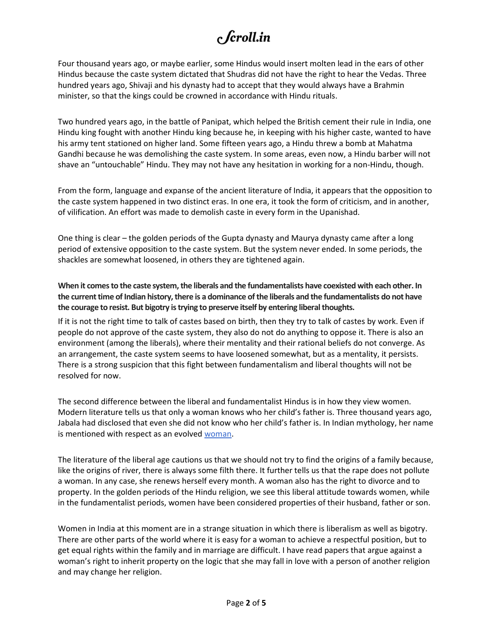Four thousand years ago, or maybe earlier, some Hindus would insert molten lead in the ears of other Hindus because the caste system dictated that Shudras did not have the right to hear the Vedas. Three hundred years ago, Shivaji and his dynasty had to accept that they would always have a Brahmin minister, so that the kings could be crowned in accordance with Hindu rituals.

Two hundred years ago, in the battle of Panipat, which helped the British cement their rule in India, one Hindu king fought with another Hindu king because he, in keeping with his higher caste, wanted to have his army tent stationed on higher land. Some fifteen years ago, a Hindu threw a bomb at Mahatma Gandhi because he was demolishing the caste system. In some areas, even now, a Hindu barber will not shave an "untouchable" Hindu. They may not have any hesitation in working for a non-Hindu, though.

From the form, language and expanse of the ancient literature of India, it appears that the opposition to the caste system happened in two distinct eras. In one era, it took the form of criticism, and in another, of vilification. An effort was made to demolish caste in every form in the Upanishad.

One thing is clear – the golden periods of the Gupta dynasty and Maurya dynasty came after a long period of extensive opposition to the caste system. But the system never ended. In some periods, the shackles are somewhat loosened, in others they are tightened again.

When it comes to the caste system, the liberals and the fundamentalists have coexisted with each other. In the current time of Indian history, there is a dominance of the liberals and the fundamentalists do not have the courage to resist. But bigotry is trying to preserve itself by entering liberal thoughts.

If it is not the right time to talk of castes based on birth, then they try to talk of castes by work. Even if people do not approve of the caste system, they also do not do anything to oppose it. There is also an environment (among the liberals), where their mentality and their rational beliefs do not converge. As an arrangement, the caste system seems to have loosened somewhat, but as a mentality, it persists. There is a strong suspicion that this fight between fundamentalism and liberal thoughts will not be resolved for now.

The second difference between the liberal and fundamentalist Hindus is in how they view women. Modern literature tells us that only a woman knows who her child's father is. Three thousand years ago, Jabala had disclosed that even she did not know who her child's father is. In Indian mythology, her name is mentioned with respect as an evolved woman.

The literature of the liberal age cautions us that we should not try to find the origins of a family because, like the origins of river, there is always some filth there. It further tells us that the rape does not pollute a woman. In any case, she renews herself every month. A woman also has the right to divorce and to property. In the golden periods of the Hindu religion, we see this liberal attitude towards women, while in the fundamentalist periods, women have been considered properties of their husband, father or son.

Women in India at this moment are in a strange situation in which there is liberalism as well as bigotry. There are other parts of the world where it is easy for a woman to achieve a respectful position, but to get equal rights within the family and in marriage are difficult. I have read papers that argue against a woman's right to inherit property on the logic that she may fall in love with a person of another religion and may change her religion.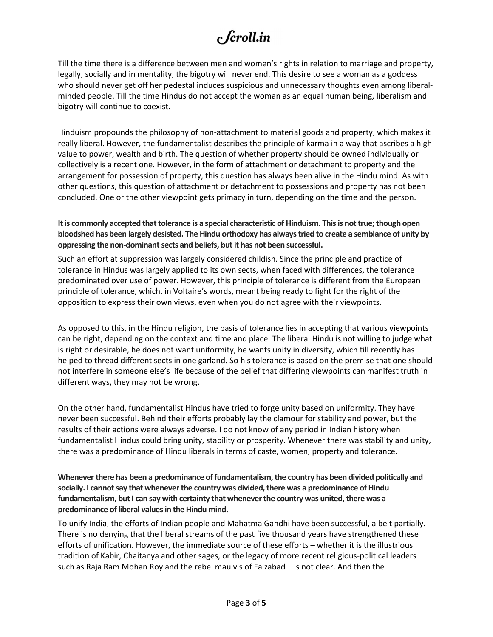Till the time there is a difference between men and women's rights in relation to marriage and property, legally, socially and in mentality, the bigotry will never end. This desire to see a woman as a goddess who should never get off her pedestal induces suspicious and unnecessary thoughts even among liberalminded people. Till the time Hindus do not accept the woman as an equal human being, liberalism and bigotry will continue to coexist.

Hinduism propounds the philosophy of non-attachment to material goods and property, which makes it really liberal. However, the fundamentalist describes the principle of karma in a way that ascribes a high value to power, wealth and birth. The question of whether property should be owned individually or collectively is a recent one. However, in the form of attachment or detachment to property and the arrangement for possession of property, this question has always been alive in the Hindu mind. As with other questions, this question of attachment or detachment to possessions and property has not been concluded. One or the other viewpoint gets primacy in turn, depending on the time and the person.

#### It is commonly accepted that tolerance is a special characteristic of Hinduism. This is not true; though open bloodshed has been largely desisted. The Hindu orthodoxy has always tried to create a semblance of unity by oppressing the non-dominant sects and beliefs, but it has not been successful.

Such an effort at suppression was largely considered childish. Since the principle and practice of tolerance in Hindus was largely applied to its own sects, when faced with differences, the tolerance predominated over use of power. However, this principle of tolerance is different from the European principle of tolerance, which, in Voltaire's words, meant being ready to fight for the right of the opposition to express their own views, even when you do not agree with their viewpoints.

As opposed to this, in the Hindu religion, the basis of tolerance lies in accepting that various viewpoints can be right, depending on the context and time and place. The liberal Hindu is not willing to judge what is right or desirable, he does not want uniformity, he wants unity in diversity, which till recently has helped to thread different sects in one garland. So his tolerance is based on the premise that one should not interfere in someone else's life because of the belief that differing viewpoints can manifest truth in different ways, they may not be wrong.

On the other hand, fundamentalist Hindus have tried to forge unity based on uniformity. They have never been successful. Behind their efforts probably lay the clamour for stability and power, but the results of their actions were always adverse. I do not know of any period in Indian history when fundamentalist Hindus could bring unity, stability or prosperity. Whenever there was stability and unity, there was a predominance of Hindu liberals in terms of caste, women, property and tolerance.

#### Whenever there has been a predominance of fundamentalism, the country has been divided politically and socially. I cannot say that whenever the country was divided, there was a predominance of Hindu fundamentalism, but I can say with certainty that whenever the country was united, there was a predominance of liberal values in the Hindu mind.

To unify India, the efforts of Indian people and Mahatma Gandhi have been successful, albeit partially. There is no denying that the liberal streams of the past five thousand years have strengthened these efforts of unification. However, the immediate source of these efforts – whether it is the illustrious tradition of Kabir, Chaitanya and other sages, or the legacy of more recent religious-political leaders such as Raja Ram Mohan Roy and the rebel maulvis of Faizabad – is not clear. And then the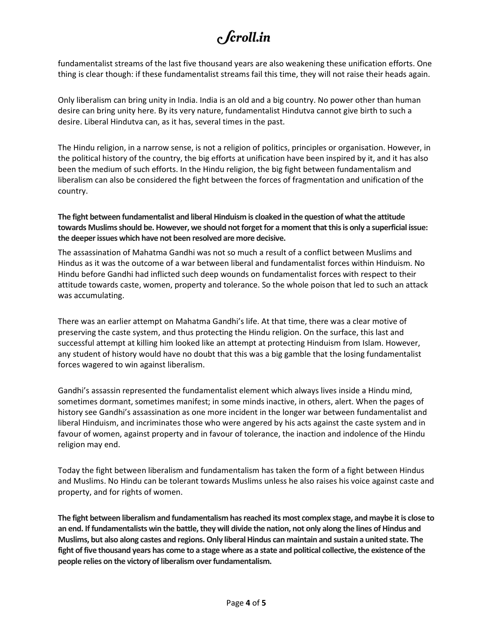fundamentalist streams of the last five thousand years are also weakening these unification efforts. One thing is clear though: if these fundamentalist streams fail this time, they will not raise their heads again.

Only liberalism can bring unity in India. India is an old and a big country. No power other than human desire can bring unity here. By its very nature, fundamentalist Hindutva cannot give birth to such a desire. Liberal Hindutva can, as it has, several times in the past.

The Hindu religion, in a narrow sense, is not a religion of politics, principles or organisation. However, in the political history of the country, the big efforts at unification have been inspired by it, and it has also been the medium of such efforts. In the Hindu religion, the big fight between fundamentalism and liberalism can also be considered the fight between the forces of fragmentation and unification of the country.

The fight between fundamentalist and liberal Hinduism is cloaked in the question of what the attitude towards Muslims should be. However, we should not forget for a moment that this is only a superficial issue: the deeper issues which have not been resolved are more decisive.

The assassination of Mahatma Gandhi was not so much a result of a conflict between Muslims and Hindus as it was the outcome of a war between liberal and fundamentalist forces within Hinduism. No Hindu before Gandhi had inflicted such deep wounds on fundamentalist forces with respect to their attitude towards caste, women, property and tolerance. So the whole poison that led to such an attack was accumulating.

There was an earlier attempt on Mahatma Gandhi's life. At that time, there was a clear motive of preserving the caste system, and thus protecting the Hindu religion. On the surface, this last and successful attempt at killing him looked like an attempt at protecting Hinduism from Islam. However, any student of history would have no doubt that this was a big gamble that the losing fundamentalist forces wagered to win against liberalism.

Gandhi's assassin represented the fundamentalist element which always lives inside a Hindu mind, sometimes dormant, sometimes manifest; in some minds inactive, in others, alert. When the pages of history see Gandhi's assassination as one more incident in the longer war between fundamentalist and liberal Hinduism, and incriminates those who were angered by his acts against the caste system and in favour of women, against property and in favour of tolerance, the inaction and indolence of the Hindu religion may end.

Today the fight between liberalism and fundamentalism has taken the form of a fight between Hindus and Muslims. No Hindu can be tolerant towards Muslims unless he also raises his voice against caste and property, and for rights of women.

The fight between liberalism and fundamentalism has reached its most complex stage, and maybe it is close to an end. If fundamentalists win the battle, they will divide the nation, not only along the lines of Hindus and Muslims, but also along castes and regions. Only liberal Hindus can maintain and sustain a united state. The fight of five thousand years has come to a stage where as a state and political collective, the existence of the people relies on the victory of liberalism over fundamentalism.